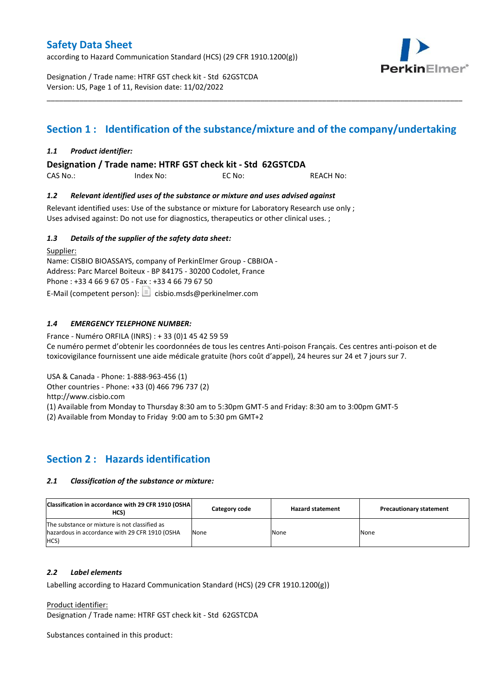according to Hazard Communication Standard (HCS) (29 CFR 1910.1200(g))

Designation / Trade name: HTRF GST check kit - Std 62GSTCDA Version: US, Page 1 of 11, Revision date: 11/02/2022



## **Section 1 : Identification of the substance/mixture and of the company/undertaking**

\_\_\_\_\_\_\_\_\_\_\_\_\_\_\_\_\_\_\_\_\_\_\_\_\_\_\_\_\_\_\_\_\_\_\_\_\_\_\_\_\_\_\_\_\_\_\_\_\_\_\_\_\_\_\_\_\_\_\_\_\_\_\_\_\_\_\_\_\_\_\_\_\_\_\_\_\_\_\_\_\_\_\_\_\_\_\_\_\_\_\_\_\_\_\_\_\_\_\_\_\_

## *1.1 Product identifier:*

**Designation / Trade name: HTRF GST check kit - Std 62GSTCDA** 

CAS No.: Index No: EC No: REACH No:

## *1.2 Relevant identified uses of the substance or mixture and uses advised against*

Relevant identified uses: Use of the substance or mixture for Laboratory Research use only ; Uses advised against: Do not use for diagnostics, therapeutics or other clinical uses. ;

## *1.3 Details of the supplier of the safety data sheet:*

Supplier: Name: CISBIO BIOASSAYS, company of PerkinElmer Group - CBBIOA - Address: Parc Marcel Boiteux - BP 84175 - 30200 Codolet, France Phone : +33 4 66 9 67 05 - Fax : +33 4 66 79 67 50 E-Mail (competent person):  $\Box$  cisbio.msds@perkinelmer.com

## *1.4 EMERGENCY TELEPHONE NUMBER:*

France - Numéro ORFILA (INRS) : + 33 (0)1 45 42 59 59 Ce numéro permet d'obtenir les coordonnées de tous les centres Anti-poison Français. Ces centres anti-poison et de toxicovigilance fournissent une aide médicale gratuite (hors coût d'appel), 24 heures sur 24 et 7 jours sur 7.

USA & Canada - Phone: 1-888-963-456 (1)

Other countries - Phone: +33 (0) 466 796 737 (2)

http://www.cisbio.com

(1) Available from Monday to Thursday 8:30 am to 5:30pm GMT-5 and Friday: 8:30 am to 3:00pm GMT-5

(2) Available from Monday to Friday 9:00 am to 5:30 pm GMT+2

## **Section 2 : Hazards identification**

### *2.1 Classification of the substance or mixture:*

| Classification in accordance with 29 CFR 1910 (OSHA)<br>HCS)                                            | Category code | <b>Hazard statement</b> | <b>Precautionary statement</b> |
|---------------------------------------------------------------------------------------------------------|---------------|-------------------------|--------------------------------|
| The substance or mixture is not classified as<br>hazardous in accordance with 29 CFR 1910 (OSHA<br>HCS) | None          | None                    | None                           |

### *2.2 Label elements*

Labelling according to Hazard Communication Standard (HCS) (29 CFR 1910.1200(g))

Product identifier:

Designation / Trade name: HTRF GST check kit - Std 62GSTCDA

Substances contained in this product: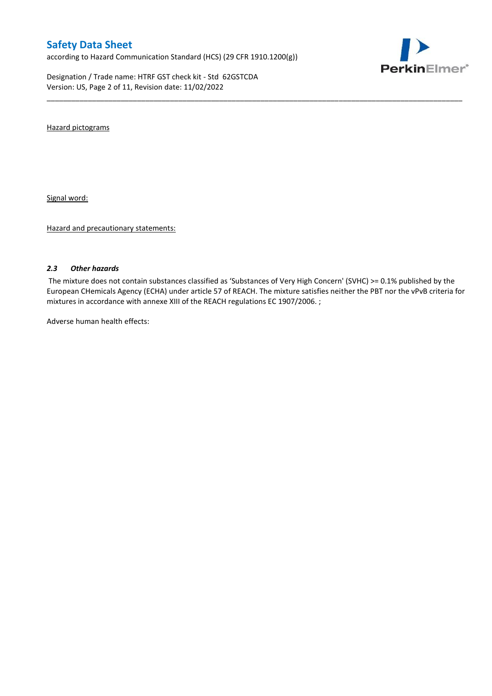according to Hazard Communication Standard (HCS) (29 CFR 1910.1200(g))

Designation / Trade name: HTRF GST check kit - Std 62GSTCDA Version: US, Page 2 of 11, Revision date: 11/02/2022



Hazard pictograms

Signal word:

Hazard and precautionary statements:

### *2.3 Other hazards*

The mixture does not contain substances classified as 'Substances of Very High Concern' (SVHC) >= 0.1% published by the European CHemicals Agency (ECHA) under article 57 of REACH. The mixture satisfies neither the PBT nor the vPvB criteria for mixtures in accordance with annexe XIII of the REACH regulations EC 1907/2006. ;

\_\_\_\_\_\_\_\_\_\_\_\_\_\_\_\_\_\_\_\_\_\_\_\_\_\_\_\_\_\_\_\_\_\_\_\_\_\_\_\_\_\_\_\_\_\_\_\_\_\_\_\_\_\_\_\_\_\_\_\_\_\_\_\_\_\_\_\_\_\_\_\_\_\_\_\_\_\_\_\_\_\_\_\_\_\_\_\_\_\_\_\_\_\_\_\_\_\_\_\_\_

Adverse human health effects: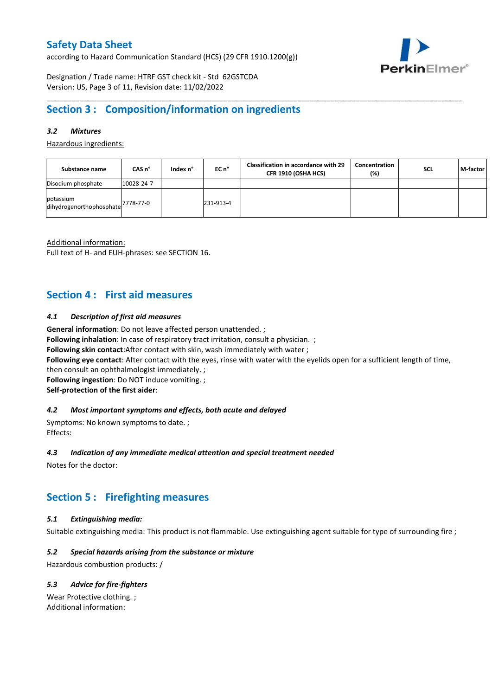according to Hazard Communication Standard (HCS) (29 CFR 1910.1200(g))



Designation / Trade name: HTRF GST check kit - Std 62GSTCDA Version: US, Page 3 of 11, Revision date: 11/02/2022

## **Section 3 : Composition/information on ingredients**

## *3.2 Mixtures*

Hazardous ingredients:

| Substance name                                             | CAS n°     | Index n° | EC <sub>n</sub> ° | Classification in accordance with 29<br>CFR 1910 (OSHA HCS) | Concentration<br>(%) | <b>SCL</b> | M-factor |
|------------------------------------------------------------|------------|----------|-------------------|-------------------------------------------------------------|----------------------|------------|----------|
| Disodium phosphate                                         | 10028-24-7 |          |                   |                                                             |                      |            |          |
| potassium<br>11hydrogenorthophosphate <sup>7778-77-0</sup> |            |          | 231-913-4         |                                                             |                      |            |          |

\_\_\_\_\_\_\_\_\_\_\_\_\_\_\_\_\_\_\_\_\_\_\_\_\_\_\_\_\_\_\_\_\_\_\_\_\_\_\_\_\_\_\_\_\_\_\_\_\_\_\_\_\_\_\_\_\_\_\_\_\_\_\_\_\_\_\_\_\_\_\_\_\_\_\_\_\_\_\_\_\_\_\_\_\_\_\_\_\_\_\_\_\_\_\_\_\_\_\_\_\_

Additional information:

Full text of H- and EUH-phrases: see SECTION 16.

## **Section 4 : First aid measures**

## *4.1 Description of first aid measures*

**General information**: Do not leave affected person unattended. ;

**Following inhalation**: In case of respiratory tract irritation, consult a physician. ;

**Following skin contact**:After contact with skin, wash immediately with water ;

**Following eye contact**: After contact with the eyes, rinse with water with the eyelids open for a sufficient length of time, then consult an ophthalmologist immediately. ;

**Following ingestion**: Do NOT induce vomiting. ;

**Self-protection of the first aider**:

## *4.2 Most important symptoms and effects, both acute and delayed*

Symptoms: No known symptoms to date. ; Effects:

## *4.3 Indication of any immediate medical attention and special treatment needed*

Notes for the doctor:

## **Section 5 : Firefighting measures**

## *5.1 Extinguishing media:*

Suitable extinguishing media: This product is not flammable. Use extinguishing agent suitable for type of surrounding fire ;

## *5.2 Special hazards arising from the substance or mixture*

Hazardous combustion products: /

## *5.3 Advice for fire-fighters*

Wear Protective clothing. ; Additional information: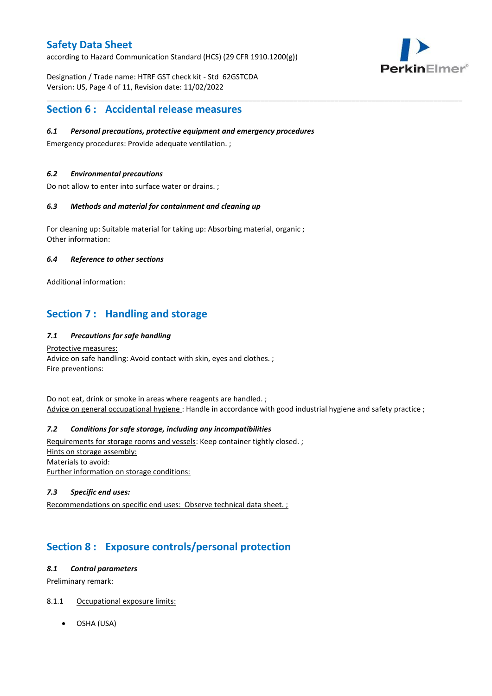according to Hazard Communication Standard (HCS) (29 CFR 1910.1200(g))



Designation / Trade name: HTRF GST check kit - Std 62GSTCDA Version: US, Page 4 of 11, Revision date: 11/02/2022

## **Section 6 : Accidental release measures**

## *6.1 Personal precautions, protective equipment and emergency procedures*

Emergency procedures: Provide adequate ventilation. ;

## *6.2 Environmental precautions*

Do not allow to enter into surface water or drains. ;

## *6.3 Methods and material for containment and cleaning up*

For cleaning up: Suitable material for taking up: Absorbing material, organic ; Other information:

## *6.4 Reference to other sections*

Additional information:

## **Section 7 : Handling and storage**

## *7.1 Precautions for safe handling*

Protective measures: Advice on safe handling: Avoid contact with skin, eyes and clothes. ; Fire preventions:

Do not eat, drink or smoke in areas where reagents are handled. ; Advice on general occupational hygiene: Handle in accordance with good industrial hygiene and safety practice ;

\_\_\_\_\_\_\_\_\_\_\_\_\_\_\_\_\_\_\_\_\_\_\_\_\_\_\_\_\_\_\_\_\_\_\_\_\_\_\_\_\_\_\_\_\_\_\_\_\_\_\_\_\_\_\_\_\_\_\_\_\_\_\_\_\_\_\_\_\_\_\_\_\_\_\_\_\_\_\_\_\_\_\_\_\_\_\_\_\_\_\_\_\_\_\_\_\_\_\_\_\_

## *7.2 Conditions for safe storage, including any incompatibilities*

Requirements for storage rooms and vessels: Keep container tightly closed. ; Hints on storage assembly: Materials to avoid: Further information on storage conditions:

## *7.3 Specific end uses:*

Recommendations on specific end uses: Observe technical data sheet. ;

## **Section 8 : Exposure controls/personal protection**

### *8.1 Control parameters*

Preliminary remark:

## 8.1.1 Occupational exposure limits:

OSHA (USA)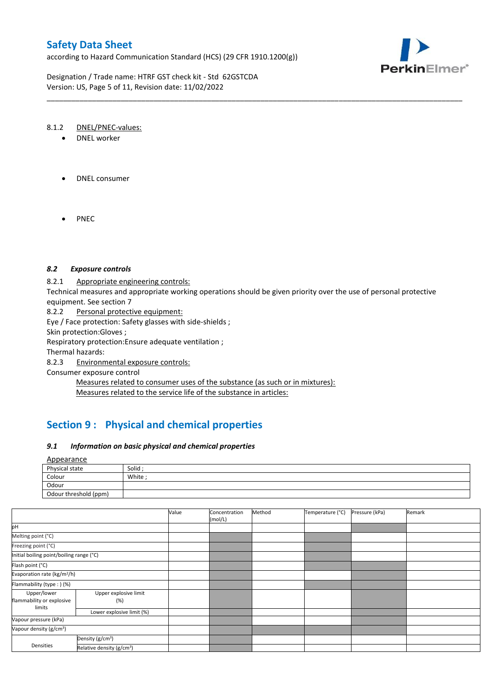according to Hazard Communication Standard (HCS) (29 CFR 1910.1200(g))



Designation / Trade name: HTRF GST check kit - Std 62GSTCDA Version: US, Page 5 of 11, Revision date: 11/02/2022

### 8.1.2 DNEL/PNEC-values:

- DNEL worker
- DNEL consumer
- PNEC

## *8.2 Exposure controls*

## 8.2.1 Appropriate engineering controls:

Technical measures and appropriate working operations should be given priority over the use of personal protective equipment. See section 7

\_\_\_\_\_\_\_\_\_\_\_\_\_\_\_\_\_\_\_\_\_\_\_\_\_\_\_\_\_\_\_\_\_\_\_\_\_\_\_\_\_\_\_\_\_\_\_\_\_\_\_\_\_\_\_\_\_\_\_\_\_\_\_\_\_\_\_\_\_\_\_\_\_\_\_\_\_\_\_\_\_\_\_\_\_\_\_\_\_\_\_\_\_\_\_\_\_\_\_\_\_

8.2.2 Personal protective equipment:

Eye / Face protection: Safety glasses with side-shields ;

Skin protection:Gloves ;

Respiratory protection:Ensure adequate ventilation ;

Thermal hazards:

8.2.3 Environmental exposure controls:

Consumer exposure control

Measures related to consumer uses of the substance (as such or in mixtures): Measures related to the service life of the substance in articles:

## **Section 9 : Physical and chemical properties**

### *9.1 Information on basic physical and chemical properties*

#### **Annearance**

| n                     |         |
|-----------------------|---------|
| Physical state        | Solid   |
| Colour                | White ; |
| Odour                 |         |
| Odour threshold (ppm) |         |

|                                                    |                                       | Value | Concentration<br>(mol/L) | Method | Temperature (°C) | Pressure (kPa) | Remark |
|----------------------------------------------------|---------------------------------------|-------|--------------------------|--------|------------------|----------------|--------|
| рH                                                 |                                       |       |                          |        |                  |                |        |
| Melting point (°C)                                 |                                       |       |                          |        |                  |                |        |
| Freezing point (°C)                                |                                       |       |                          |        |                  |                |        |
| Initial boiling point/boiling range (°C)           |                                       |       |                          |        |                  |                |        |
| Flash point (°C)                                   |                                       |       |                          |        |                  |                |        |
| Evaporation rate (kg/m <sup>2</sup> /h)            |                                       |       |                          |        |                  |                |        |
| Flammability (type:) (%)                           |                                       |       |                          |        |                  |                |        |
| Upper/lower<br>flammability or explosive<br>limits | Upper explosive limit<br>(%)          |       |                          |        |                  |                |        |
|                                                    | Lower explosive limit (%)             |       |                          |        |                  |                |        |
| Vapour pressure (kPa)                              |                                       |       |                          |        |                  |                |        |
| Vapour density (g/cm <sup>3</sup> )                |                                       |       |                          |        |                  |                |        |
|                                                    | Density (g/cm <sup>3</sup> )          |       |                          |        |                  |                |        |
| Densities                                          | Relative density (g/cm <sup>3</sup> ) |       |                          |        |                  |                |        |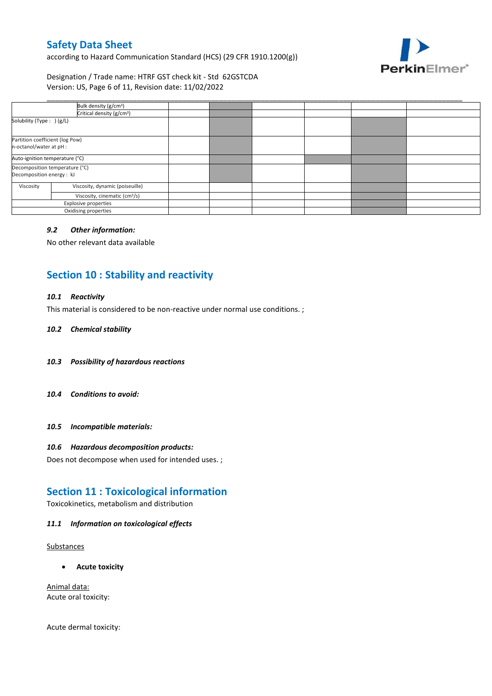according to Hazard Communication Standard (HCS) (29 CFR 1910.1200(g))



Designation / Trade name: HTRF GST check kit - Std 62GSTCDA Version: US, Page 6 of 11, Revision date: 11/02/2022

| Bulk density (g/cm <sup>3</sup> )                           |                                           |  |  |  |  |
|-------------------------------------------------------------|-------------------------------------------|--|--|--|--|
|                                                             | Critical density (g/cm <sup>3</sup> )     |  |  |  |  |
| Solubility (Type: ) (g/L)                                   |                                           |  |  |  |  |
| Partition coefficient (log Pow)<br>n-octanol/water at pH :  |                                           |  |  |  |  |
| Auto-ignition temperature (°C)                              |                                           |  |  |  |  |
| Decomposition temperature (°C)<br>Decomposition energy : kJ |                                           |  |  |  |  |
| Viscosity                                                   | Viscosity, dynamic (poiseuille)           |  |  |  |  |
|                                                             | Viscosity, cinematic (cm <sup>3</sup> /s) |  |  |  |  |
| Explosive properties                                        |                                           |  |  |  |  |
| Oxidising properties                                        |                                           |  |  |  |  |

### *9.2 Other information:*

No other relevant data available

## **Section 10 : Stability and reactivity**

### *10.1 Reactivity*

This material is considered to be non-reactive under normal use conditions. ;

#### *10.2 Chemical stability*

- *10.3 Possibility of hazardous reactions*
- *10.4 Conditions to avoid:*
- *10.5 Incompatible materials:*

### *10.6 Hazardous decomposition products:*

Does not decompose when used for intended uses. ;

## **Section 11 : Toxicological information**

Toxicokinetics, metabolism and distribution

### *11.1 Information on toxicological effects*

### **Substances**

**Acute toxicity**

Animal data: Acute oral toxicity:

Acute dermal toxicity: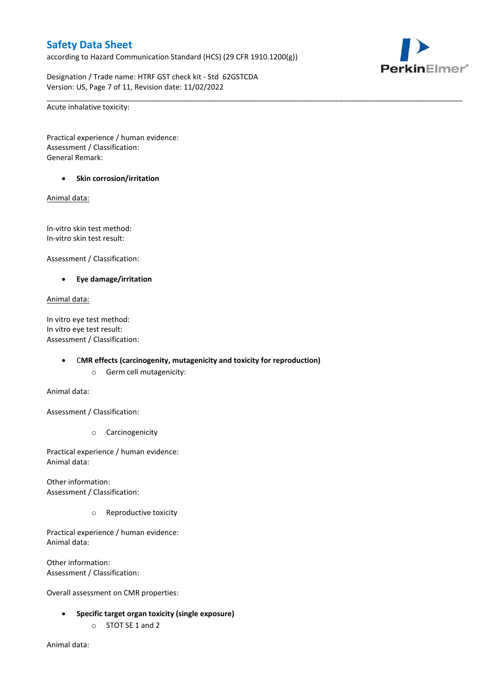according to Hazard Communication Standard (HCS) (29 CFR 1910.1200(g))

\_\_\_\_\_\_\_\_\_\_\_\_\_\_\_\_\_\_\_\_\_\_\_\_\_\_\_\_\_\_\_\_\_\_\_\_\_\_\_\_\_\_\_\_\_\_\_\_\_\_\_\_\_\_\_\_\_\_\_\_\_\_\_\_\_\_\_\_\_\_\_\_\_\_\_\_\_\_\_\_\_\_\_\_\_\_\_\_\_\_\_\_\_\_\_\_\_\_\_\_\_



Designation / Trade name: HTRF GST check kit - Std 62GSTCDA Version: US, Page 7 of 11, Revision date: 11/02/2022

Acute inhalative toxicity:

Practical experience / human evidence: Assessment / Classification: General Remark:

## **•** Skin corrosion/irritation

Animal data:

In-vitro skin test method: In-vitro skin test result:

Assessment / Classification:

**Eye damage/irritation**

### Animal data:

In vitro eye test method: In vitro eye test result: Assessment / Classification:

C**MR effects (carcinogenity, mutagenicity and toxicity for reproduction)**

o Germ cell mutagenicity:

Animal data:

Assessment / Classification:

o Carcinogenicity

Practical experience / human evidence: Animal data:

Other information: Assessment / Classification:

o Reproductive toxicity

Practical experience / human evidence: Animal data:

Other information: Assessment / Classification:

Overall assessment on CMR properties:

- **Specific target organ toxicity (single exposure)**
	- o STOT SE 1 and 2

Animal data: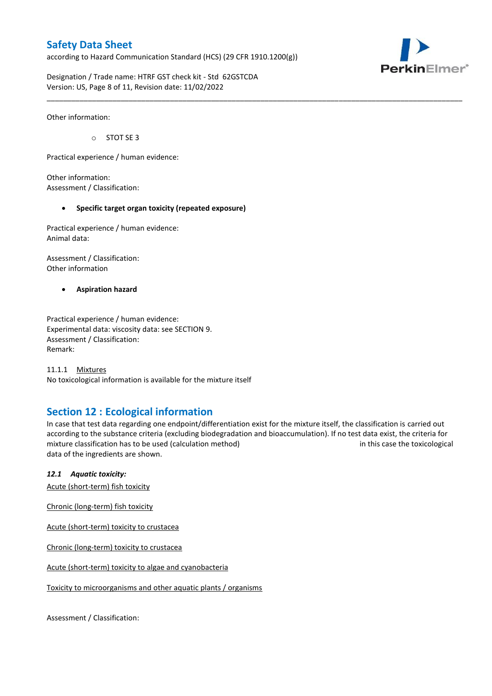according to Hazard Communication Standard (HCS) (29 CFR 1910.1200(g))



Designation / Trade name: HTRF GST check kit - Std 62GSTCDA Version: US, Page 8 of 11, Revision date: 11/02/2022

Other information:

o STOT SE 3

Practical experience / human evidence:

Other information: Assessment / Classification:

## **Specific target organ toxicity (repeated exposure)**

Practical experience / human evidence: Animal data:

Assessment / Classification: Other information

**Aspiration hazard**

Practical experience / human evidence: Experimental data: viscosity data: see SECTION 9. Assessment / Classification: Remark:

11.1.1 Mixtures No toxicological information is available for the mixture itself

## **Section 12 : Ecological information**

In case that test data regarding one endpoint/differentiation exist for the mixture itself, the classification is carried out according to the substance criteria (excluding biodegradation and bioaccumulation). If no test data exist, the criteria for mixture classification has to be used (calculation method) in this case the toxicological data of the ingredients are shown.

\_\_\_\_\_\_\_\_\_\_\_\_\_\_\_\_\_\_\_\_\_\_\_\_\_\_\_\_\_\_\_\_\_\_\_\_\_\_\_\_\_\_\_\_\_\_\_\_\_\_\_\_\_\_\_\_\_\_\_\_\_\_\_\_\_\_\_\_\_\_\_\_\_\_\_\_\_\_\_\_\_\_\_\_\_\_\_\_\_\_\_\_\_\_\_\_\_\_\_\_\_

## *12.1 Aquatic toxicity:*

Acute (short-term) fish toxicity

Chronic (long-term) fish toxicity

Acute (short-term) toxicity to crustacea

Chronic (long-term) toxicity to crustacea

Acute (short-term) toxicity to algae and cyanobacteria

Toxicity to microorganisms and other aquatic plants / organisms

Assessment / Classification: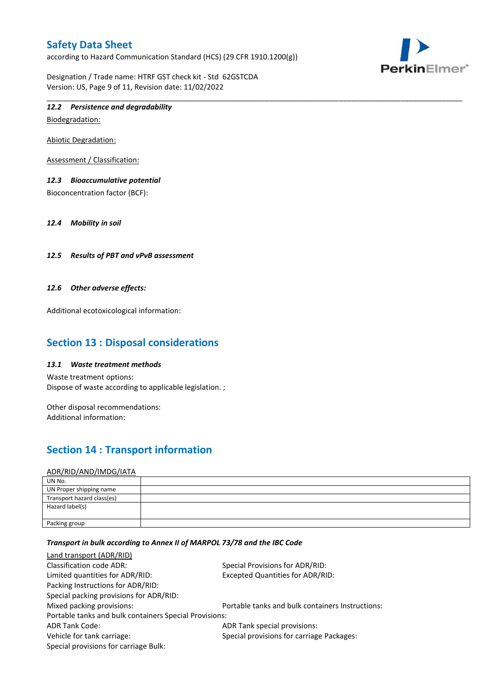according to Hazard Communication Standard (HCS) (29 CFR 1910.1200(g))



Designation / Trade name: HTRF GST check kit - Std 62GSTCDA Version: US, Page 9 of 11, Revision date: 11/02/2022

# *12.2 Persistence and degradability*

Biodegradation:

Abiotic Degradation:

Assessment / Classification:

## *12.3 Bioaccumulative potential*

Bioconcentration factor (BCF):

*12.4 Mobility in soil*

### *12.5 Results of PBT and vPvB assessment*

## *12.6 Other adverse effects:*

Additional ecotoxicological information:

## **Section 13 : Disposal considerations**

### *13.1 Waste treatment methods*

Waste treatment options: Dispose of waste according to applicable legislation. ;

Other disposal recommendations: Additional information:

## **Section 14 : Transport information**

#### ADR/RID/AND/IMDG/IATA

| UN No.                     |  |
|----------------------------|--|
| UN Proper shipping name    |  |
| Transport hazard class(es) |  |
| Hazard label(s)            |  |
|                            |  |
| Packing group              |  |

\_\_\_\_\_\_\_\_\_\_\_\_\_\_\_\_\_\_\_\_\_\_\_\_\_\_\_\_\_\_\_\_\_\_\_\_\_\_\_\_\_\_\_\_\_\_\_\_\_\_\_\_\_\_\_\_\_\_\_\_\_\_\_\_\_\_\_\_\_\_\_\_\_\_\_\_\_\_\_\_\_\_\_\_\_\_\_\_\_\_\_\_\_\_\_\_\_\_\_\_\_

### *Transport in bulk according to Annex II of MARPOL 73/78 and the IBC Code*

| <b>Land transport (ADR/RID)</b>                        |                                                  |
|--------------------------------------------------------|--------------------------------------------------|
| <b>Classification code ADR:</b>                        | Special Provisions for ADR/RID:                  |
| Limited quantities for ADR/RID:                        | <b>Excepted Quantities for ADR/RID:</b>          |
| Packing Instructions for ADR/RID:                      |                                                  |
| Special packing provisions for ADR/RID:                |                                                  |
| Mixed packing provisions:                              | Portable tanks and bulk containers Instructions: |
| Portable tanks and bulk containers Special Provisions: |                                                  |
| <b>ADR Tank Code:</b>                                  | ADR Tank special provisions:                     |
| Vehicle for tank carriage:                             | Special provisions for carriage Packages:        |
| Special provisions for carriage Bulk:                  |                                                  |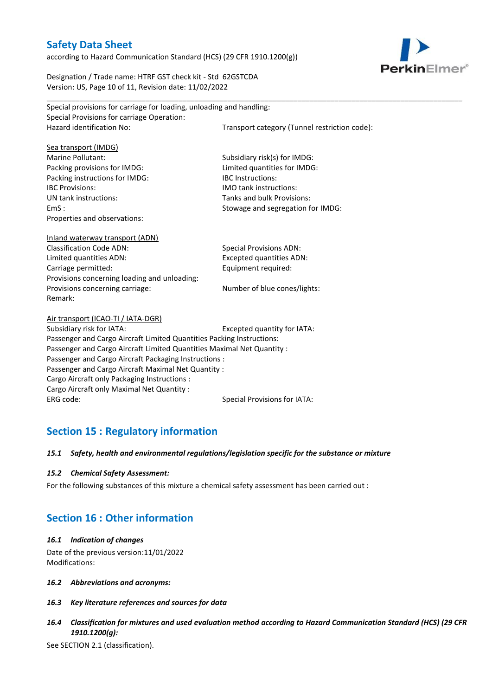according to Hazard Communication Standard (HCS) (29 CFR 1910.1200(g))

PerkinElmer\*

Designation / Trade name: HTRF GST check kit - Std 62GSTCDA Version: US, Page 10 of 11, Revision date: 11/02/2022

| Special provisions for carriage for loading, unloading and handling:   |                                               |
|------------------------------------------------------------------------|-----------------------------------------------|
| Special Provisions for carriage Operation:                             |                                               |
| Hazard identification No:                                              | Transport category (Tunnel restriction code): |
|                                                                        |                                               |
| Sea transport (IMDG)                                                   |                                               |
| Marine Pollutant:                                                      | Subsidiary risk(s) for IMDG:                  |
| Packing provisions for IMDG:                                           | Limited quantities for IMDG:                  |
| Packing instructions for IMDG:                                         | <b>IBC</b> Instructions:                      |
| <b>IBC Provisions:</b>                                                 | <b>IMO</b> tank instructions:                 |
| UN tank instructions:                                                  | Tanks and bulk Provisions:                    |
| EmS:                                                                   | Stowage and segregation for IMDG:             |
| Properties and observations:                                           |                                               |
|                                                                        |                                               |
| Inland waterway transport (ADN)                                        |                                               |
| <b>Classification Code ADN:</b>                                        | <b>Special Provisions ADN:</b>                |
| Limited quantities ADN:                                                | <b>Excepted quantities ADN:</b>               |
| Carriage permitted:                                                    | Equipment required:                           |
| Provisions concerning loading and unloading:                           |                                               |
| Provisions concerning carriage:                                        | Number of blue cones/lights:                  |
| Remark:                                                                |                                               |
|                                                                        |                                               |
| Air transport (ICAO-TI / IATA-DGR)                                     |                                               |
| Subsidiary risk for IATA:                                              | Excepted quantity for IATA:                   |
| Passenger and Cargo Aircraft Limited Quantities Packing Instructions:  |                                               |
| Passenger and Cargo Aircraft Limited Quantities Maximal Net Quantity : |                                               |
| Passenger and Cargo Aircraft Packaging Instructions :                  |                                               |
| Passenger and Cargo Aircraft Maximal Net Quantity :                    |                                               |
| Cargo Aircraft only Packaging Instructions :                           |                                               |
| Cargo Aircraft only Maximal Net Quantity:                              |                                               |
| ERG code:                                                              | Special Provisions for IATA:                  |
|                                                                        |                                               |

\_\_\_\_\_\_\_\_\_\_\_\_\_\_\_\_\_\_\_\_\_\_\_\_\_\_\_\_\_\_\_\_\_\_\_\_\_\_\_\_\_\_\_\_\_\_\_\_\_\_\_\_\_\_\_\_\_\_\_\_\_\_\_\_\_\_\_\_\_\_\_\_\_\_\_\_\_\_\_\_\_\_\_\_\_\_\_\_\_\_\_\_\_\_\_\_\_\_\_\_\_

## **Section 15 : Regulatory information**

### *15.1 Safety, health and environmental regulations/legislation specific for the substance or mixture*

### *15.2 Chemical Safety Assessment:*

For the following substances of this mixture a chemical safety assessment has been carried out :

## **Section 16 : Other information**

## *16.1 Indication of changes*

Date of the previous version:11/01/2022 Modifications:

- *16.2 Abbreviations and acronyms:*
- *16.3 Key literature references and sources for data*
- *16.4 Classification for mixtures and used evaluation method according to Hazard Communication Standard (HCS) (29 CFR 1910.1200(g):*

See SECTION 2.1 (classification).